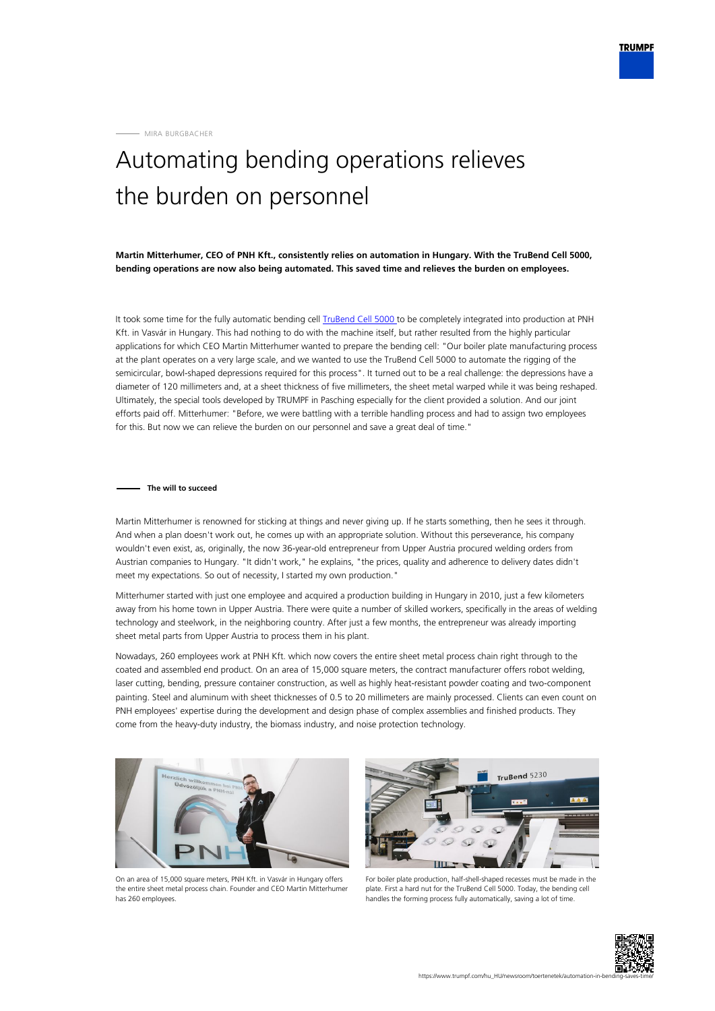MIRA BURGBACHER

## Automating bending operations relieves the burden on personnel

**Martin Mitterhumer, CEO of PNH Kft., consistently relies on automation in Hungary. With the TruBend Cell 5000, bending operations are now also being automated. This saved time and relieves the burden on employees.**

It took some time for the fully automatic bending cell [TruBend Cell 5000 t](https://www.trumpf.com/hu_HU/termekek/gepek-rendszerek/hajlitogepek/trubend-cell-5000/)o be completely integrated into production at PNH Kft. in Vasvár in Hungary. This had nothing to do with the machine itself, but rather resulted from the highly particular applications for which CEO Martin Mitterhumer wanted to prepare the bending cell: "Our boiler plate manufacturing process at the plant operates on a very large scale, and we wanted to use the TruBend Cell 5000 to automate the rigging of the semicircular, bowl-shaped depressions required for this process". It turned out to be a real challenge: the depressions have a diameter of 120 millimeters and, at a sheet thickness of five millimeters, the sheet metal warped while it was being reshaped. Ultimately, the special tools developed by TRUMPF in Pasching especially for the client provided a solution. And our joint efforts paid off. Mitterhumer: "Before, we were battling with a terrible handling process and had to assign two employees for this. But now we can relieve the burden on our personnel and save a great deal of time."

## **The will to succeed**

Martin Mitterhumer is renowned for sticking at things and never giving up. If he starts something, then he sees it through. And when a plan doesn't work out, he comes up with an appropriate solution. Without this perseverance, his company wouldn't even exist, as, originally, the now 36-year-old entrepreneur from Upper Austria procured welding orders from Austrian companies to Hungary. "It didn't work," he explains, "the prices, quality and adherence to delivery dates didn't meet my expectations. So out of necessity, I started my own production."

Mitterhumer started with just one employee and acquired a production building in Hungary in 2010, just a few kilometers away from his home town in Upper Austria. There were quite a number of skilled workers, specifically in the areas of welding technology and steelwork, in the neighboring country. After just a few months, the entrepreneur was already importing sheet metal parts from Upper Austria to process them in his plant.

Nowadays, 260 employees work at PNH Kft. which now covers the entire sheet metal process chain right through to the coated and assembled end product. On an area of 15,000 square meters, the contract manufacturer offers robot welding, laser cutting, bending, pressure container construction, as well as highly heat-resistant powder coating and two-component painting. Steel and aluminum with sheet thicknesses of 0.5 to 20 millimeters are mainly processed. Clients can even count on PNH employees' expertise during the development and design phase of complex assemblies and finished products. They come from the heavy-duty industry, the biomass industry, and noise protection technology.



On an area of 15,000 square meters, PNH Kft. in Vasvár in Hungary offers the entire sheet metal process chain. Founder and CEO Martin Mitterhumer has 260 employees.



For boiler plate production, half-shell-shaped recesses must be made in the plate. First a hard nut for the TruBend Cell 5000. Today, the bending cell handles the forming process fully automatically, saving a lot of time.

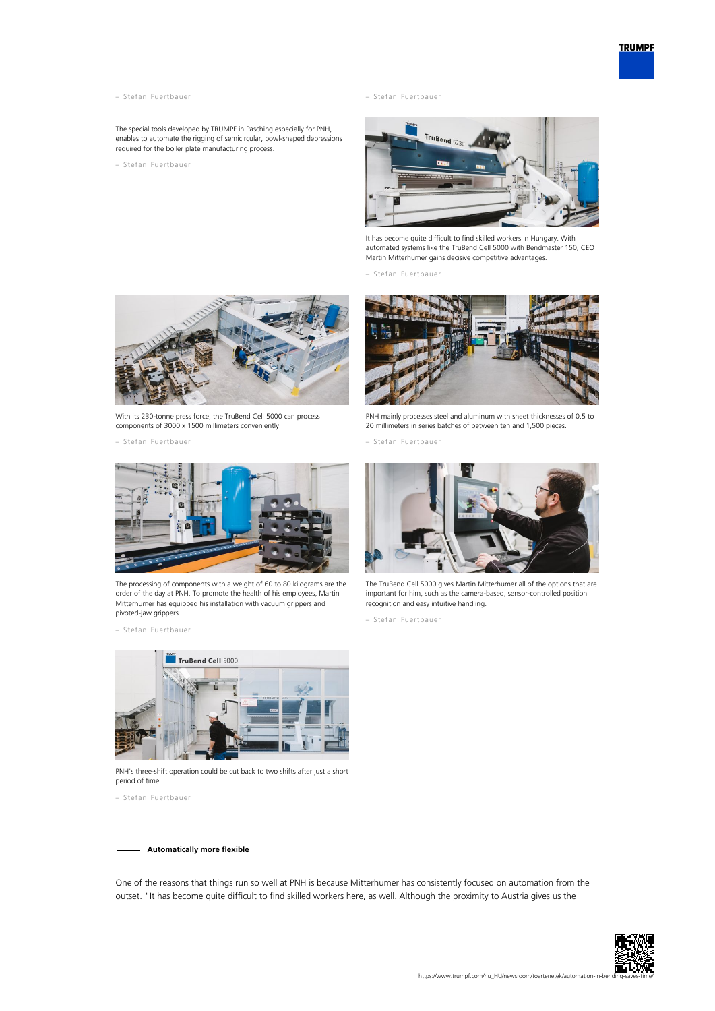- 
- The special tools developed by TRUMPF in Pasching especially for PNH, enables to automate the rigging of semicircular, bowl-shaped depressions required for the boiler plate manufacturing process.
- Stefan Fuertbauer

– Stefan Fuertbauer – Stefan Fuertbauer



It has become quite difficult to find skilled workers in Hungary. With automated systems like the TruBend Cell 5000 with Bendmaster 150, CEO Martin Mitterhumer gains decisive competitive advantages.

– Stefan Fuertbauer



With its 230-tonne press force, the TruBend Cell 5000 can process components of 3000 x 1500 millimeters conveniently.

– Stefan Fuertbauer



The processing of components with a weight of 60 to 80 kilograms are the order of the day at PNH. To promote the health of his employees, Martin Mitterhumer has equipped his installation with vacuum grippers and pivoted-jaw grippers.

– Stefan Fuertbauer



PNH mainly processes steel and aluminum with sheet thicknesses of 0.5 to 20 millimeters in series batches of between ten and 1,500 pieces.

– Stefan Fuertbauer



The TruBend Cell 5000 gives Martin Mitterhumer all of the options that are important for him, such as the camera-based, sensor-controlled position recognition and easy intuitive handling.

– Stefan Fuertbauer



PNH's three-shift operation could be cut back to two shifts after just a short period of time.

– Stefan Fuertbauer

**Automatically more flexible**

One of the reasons that things run so well at PNH is because Mitterhumer has consistently focused on automation from the outset. "It has become quite difficult to find skilled workers here, as well. Although the proximity to Austria gives us the